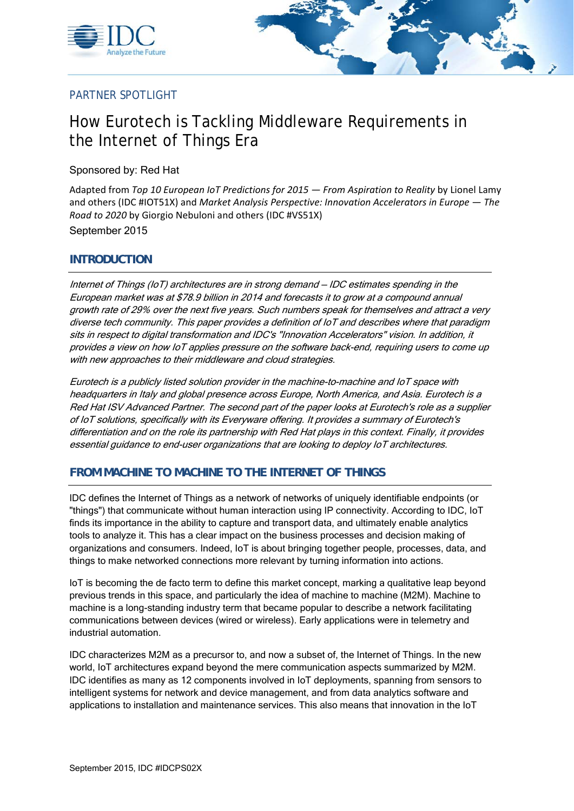



## PARTNER SPOTLIGHT

# How Eurotech is Tackling Middleware Requirements in the Internet of Things Era

Sponsored by: Red Hat

Adapted from *Top 10 European IoT Predictions for 2015 — From Aspiration to Reality* by Lionel Lamy and others (IDC #IOT51X) and *Market Analysis Perspective: Innovation Accelerators in Europe — The Road to 2020* by Giorgio Nebuloni and others (IDC #VS51X)

September 2015

#### **INTRODUCTION**

Internet of Things (IoT) architectures are in strong demand — IDC estimates spending in the European market was at \$78.9 billion in 2014 and forecasts it to grow at a compound annual growth rate of 29% over the next five years. Such numbers speak for themselves and attract a very diverse tech community. This paper provides a definition of IoT and describes where that paradigm sits in respect to digital transformation and IDC's "Innovation Accelerators" vision. In addition, it provides a view on how IoT applies pressure on the software back-end, requiring users to come up with new approaches to their middleware and cloud strategies.

Eurotech is a publicly listed solution provider in the machine-to-machine and IoT space with headquarters in Italy and global presence across Europe, North America, and Asia. Eurotech is a Red Hat ISV Advanced Partner. The second part of the paper looks at Eurotech's role as a supplier of IoT solutions, specifically with its Everyware offering. It provides a summary of Eurotech's differentiation and on the role its partnership with Red Hat plays in this context. Finally, it provides essential guidance to end-user organizations that are looking to deploy IoT architectures.

## **FROM MACHINE TO MACHINE TO THE INTERNET OF THINGS**

IDC defines the Internet of Things as a network of networks of uniquely identifiable endpoints (or "things") that communicate without human interaction using IP connectivity. According to IDC, IoT finds its importance in the ability to capture and transport data, and ultimately enable analytics tools to analyze it. This has a clear impact on the business processes and decision making of organizations and consumers. Indeed, IoT is about bringing together people, processes, data, and things to make networked connections more relevant by turning information into actions.

IoT is becoming the de facto term to define this market concept, marking a qualitative leap beyond previous trends in this space, and particularly the idea of machine to machine (M2M). Machine to machine is a long-standing industry term that became popular to describe a network facilitating communications between devices (wired or wireless). Early applications were in telemetry and industrial automation.

IDC characterizes M2M as a precursor to, and now a subset of, the Internet of Things. In the new world, IoT architectures expand beyond the mere communication aspects summarized by M2M. IDC identifies as many as 12 components involved in IoT deployments, spanning from sensors to intelligent systems for network and device management, and from data analytics software and applications to installation and maintenance services. This also means that innovation in the IoT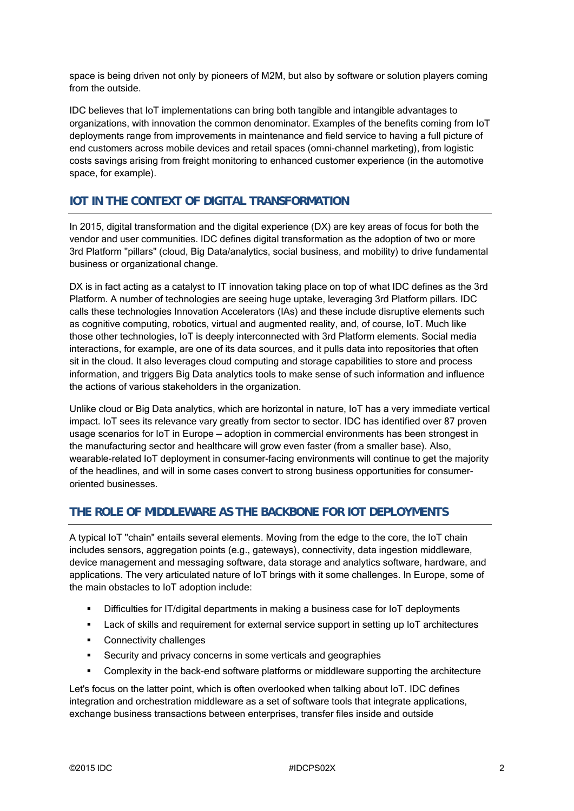space is being driven not only by pioneers of M2M, but also by software or solution players coming from the outside.

IDC believes that IoT implementations can bring both tangible and intangible advantages to organizations, with innovation the common denominator. Examples of the benefits coming from IoT deployments range from improvements in maintenance and field service to having a full picture of end customers across mobile devices and retail spaces (omni-channel marketing), from logistic costs savings arising from freight monitoring to enhanced customer experience (in the automotive space, for example).

#### **IOT IN THE CONTEXT OF DIGITAL TRANSFORMATION**

In 2015, digital transformation and the digital experience (DX) are key areas of focus for both the vendor and user communities. IDC defines digital transformation as the adoption of two or more 3rd Platform "pillars" (cloud, Big Data/analytics, social business, and mobility) to drive fundamental business or organizational change.

DX is in fact acting as a catalyst to IT innovation taking place on top of what IDC defines as the 3rd Platform. A number of technologies are seeing huge uptake, leveraging 3rd Platform pillars. IDC calls these technologies Innovation Accelerators (IAs) and these include disruptive elements such as cognitive computing, robotics, virtual and augmented reality, and, of course, IoT. Much like those other technologies, IoT is deeply interconnected with 3rd Platform elements. Social media interactions, for example, are one of its data sources, and it pulls data into repositories that often sit in the cloud. It also leverages cloud computing and storage capabilities to store and process information, and triggers Big Data analytics tools to make sense of such information and influence the actions of various stakeholders in the organization.

Unlike cloud or Big Data analytics, which are horizontal in nature, IoT has a very immediate vertical impact. IoT sees its relevance vary greatly from sector to sector. IDC has identified over 87 proven usage scenarios for IoT in Europe — adoption in commercial environments has been strongest in the manufacturing sector and healthcare will grow even faster (from a smaller base). Also, wearable-related IoT deployment in consumer-facing environments will continue to get the majority of the headlines, and will in some cases convert to strong business opportunities for consumeroriented businesses.

## **THE ROLE OF MIDDLEWARE AS THE BACKBONE FOR IOT DEPLOYMENTS**

A typical IoT "chain" entails several elements. Moving from the edge to the core, the IoT chain includes sensors, aggregation points (e.g., gateways), connectivity, data ingestion middleware, device management and messaging software, data storage and analytics software, hardware, and applications. The very articulated nature of IoT brings with it some challenges. In Europe, some of the main obstacles to IoT adoption include:

- Difficulties for IT/digital departments in making a business case for IoT deployments
- **EXECT** Lack of skills and requirement for external service support in setting up IoT architectures
- **Connectivity challenges**
- **Security and privacy concerns in some verticals and geographies**
- Complexity in the back-end software platforms or middleware supporting the architecture

Let's focus on the latter point, which is often overlooked when talking about IoT. IDC defines integration and orchestration middleware as a set of software tools that integrate applications, exchange business transactions between enterprises, transfer files inside and outside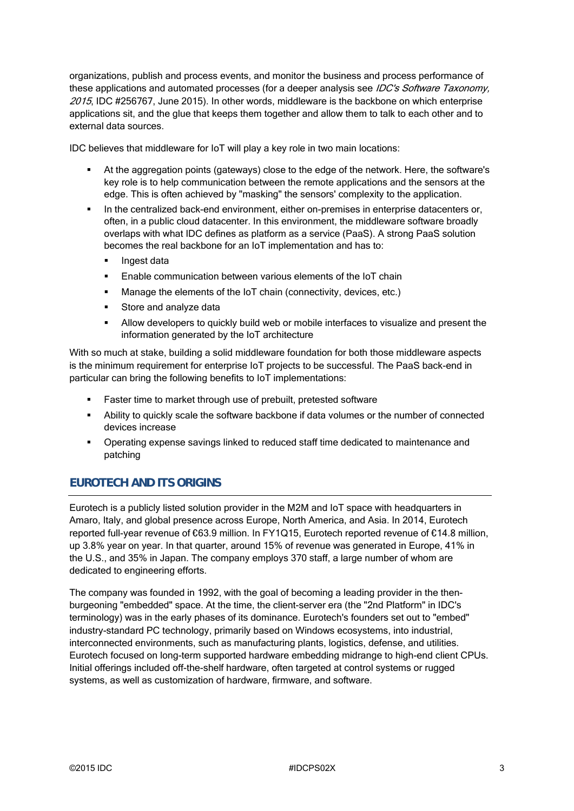organizations, publish and process events, and monitor the business and process performance of these applications and automated processes (for a deeper analysis see IDC's Software Taxonomy, 2015, IDC #256767, June 2015). In other words, middleware is the backbone on which enterprise applications sit, and the glue that keeps them together and allow them to talk to each other and to external data sources.

IDC believes that middleware for IoT will play a key role in two main locations:

- At the aggregation points (gateways) close to the edge of the network. Here, the software's key role is to help communication between the remote applications and the sensors at the edge. This is often achieved by "masking" the sensors' complexity to the application.
- In the centralized back-end environment, either on-premises in enterprise datacenters or, often, in a public cloud datacenter. In this environment, the middleware software broadly overlaps with what IDC defines as platform as a service (PaaS). A strong PaaS solution becomes the real backbone for an IoT implementation and has to:
	- Ingest data
	- Enable communication between various elements of the IoT chain
	- Manage the elements of the IoT chain (connectivity, devices, etc.)
	- Store and analyze data
	- Allow developers to quickly build web or mobile interfaces to visualize and present the information generated by the IoT architecture

With so much at stake, building a solid middleware foundation for both those middleware aspects is the minimum requirement for enterprise IoT projects to be successful. The PaaS back-end in particular can bring the following benefits to IoT implementations:

- Faster time to market through use of prebuilt, pretested software
- Ability to quickly scale the software backbone if data volumes or the number of connected devices increase
- Operating expense savings linked to reduced staff time dedicated to maintenance and patching

# **EUROTECH AND ITS ORIGINS**

Eurotech is a publicly listed solution provider in the M2M and IoT space with headquarters in Amaro, Italy, and global presence across Europe, North America, and Asia. In 2014, Eurotech reported full-year revenue of €63.9 million. In FY1Q15, Eurotech reported revenue of €14.8 million, up 3.8% year on year. In that quarter, around 15% of revenue was generated in Europe, 41% in the U.S., and 35% in Japan. The company employs 370 staff, a large number of whom are dedicated to engineering efforts.

The company was founded in 1992, with the goal of becoming a leading provider in the thenburgeoning "embedded" space. At the time, the client-server era (the "2nd Platform" in IDC's terminology) was in the early phases of its dominance. Eurotech's founders set out to "embed" industry-standard PC technology, primarily based on Windows ecosystems, into industrial, interconnected environments, such as manufacturing plants, logistics, defense, and utilities. Eurotech focused on long-term supported hardware embedding midrange to high-end client CPUs. Initial offerings included off-the-shelf hardware, often targeted at control systems or rugged systems, as well as customization of hardware, firmware, and software.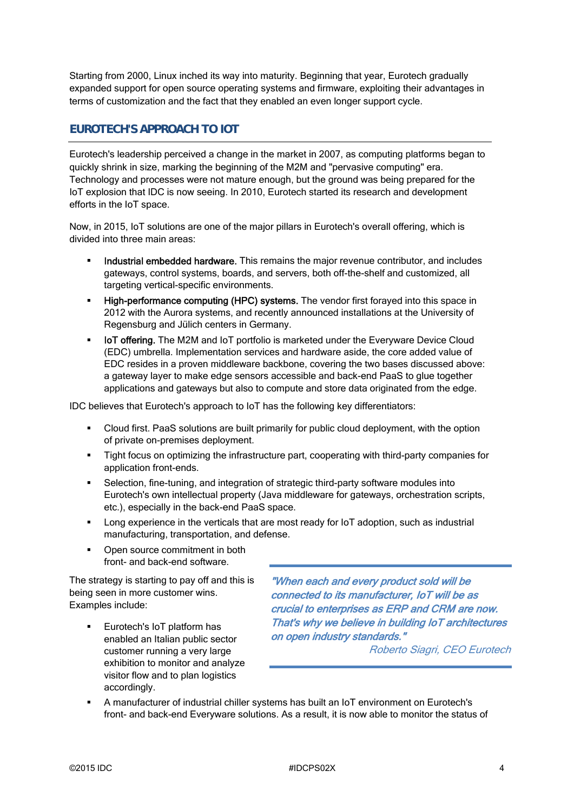Starting from 2000, Linux inched its way into maturity. Beginning that year, Eurotech gradually expanded support for open source operating systems and firmware, exploiting their advantages in terms of customization and the fact that they enabled an even longer support cycle.

## **EUROTECH'S APPROACH TO IOT**

Eurotech's leadership perceived a change in the market in 2007, as computing platforms began to quickly shrink in size, marking the beginning of the M2M and "pervasive computing" era. Technology and processes were not mature enough, but the ground was being prepared for the IoT explosion that IDC is now seeing. In 2010, Eurotech started its research and development efforts in the IoT space.

Now, in 2015, IoT solutions are one of the major pillars in Eurotech's overall offering, which is divided into three main areas:

- Industrial embedded hardware. This remains the major revenue contributor, and includes gateways, control systems, boards, and servers, both off-the-shelf and customized, all targeting vertical-specific environments.
- High-performance computing (HPC) systems. The vendor first forayed into this space in 2012 with the Aurora systems, and recently announced installations at the University of Regensburg and Jülich centers in Germany.
- **IoT offering.** The M2M and IoT portfolio is marketed under the Everyware Device Cloud (EDC) umbrella. Implementation services and hardware aside, the core added value of EDC resides in a proven middleware backbone, covering the two bases discussed above: a gateway layer to make edge sensors accessible and back-end PaaS to glue together applications and gateways but also to compute and store data originated from the edge.

IDC believes that Eurotech's approach to IoT has the following key differentiators:

- Cloud first. PaaS solutions are built primarily for public cloud deployment, with the option of private on-premises deployment.
- Tight focus on optimizing the infrastructure part, cooperating with third-party companies for application front-ends.
- Selection, fine-tuning, and integration of strategic third-party software modules into Eurotech's own intellectual property (Java middleware for gateways, orchestration scripts, etc.), especially in the back-end PaaS space.
- Long experience in the verticals that are most ready for IoT adoption, such as industrial manufacturing, transportation, and defense.
- Open source commitment in both front- and back-end software.

The strategy is starting to pay off and this is being seen in more customer wins. Examples include:

 Eurotech's IoT platform has enabled an Italian public sector customer running a very large exhibition to monitor and analyze visitor flow and to plan logistics accordingly.

"When each and every product sold will be connected to its manufacturer, IoT will be as crucial to enterprises as ERP and CRM are now. That's why we believe in building IoT architectures on open industry standards."

Roberto Siagri, CEO Eurotech

 A manufacturer of industrial chiller systems has built an IoT environment on Eurotech's front- and back-end Everyware solutions. As a result, it is now able to monitor the status of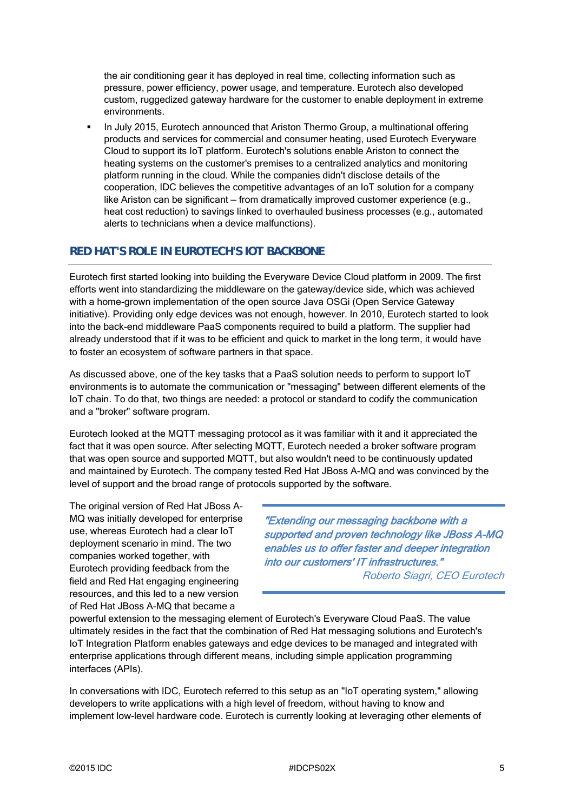the air conditioning gear it has deployed in real time, collecting information such as pressure, power efficiency, power usage, and temperature. Eurotech also developed custom, ruggedized gateway hardware for the customer to enable deployment in extreme environments.

 In July 2015, Eurotech announced that Ariston Thermo Group, a multinational offering products and services for commercial and consumer heating, used Eurotech Everyware Cloud to support its IoT platform. Eurotech's solutions enable Ariston to connect the heating systems on the customer's premises to a centralized analytics and monitoring platform running in the cloud. While the companies didn't disclose details of the cooperation, IDC believes the competitive advantages of an IoT solution for a company like Ariston can be significant — from dramatically improved customer experience (e.g., heat cost reduction) to savings linked to overhauled business processes (e.g., automated alerts to technicians when a device malfunctions).

## **RED HAT'S ROLE IN EUROTECH'S IOT BACKBONE**

Eurotech first started looking into building the Everyware Device Cloud platform in 2009. The first efforts went into standardizing the middleware on the gateway/device side, which was achieved with a home-grown implementation of the open source Java OSGi (Open Service Gateway initiative). Providing only edge devices was not enough, however. In 2010, Eurotech started to look into the back-end middleware PaaS components required to build a platform. The supplier had already understood that if it was to be efficient and quick to market in the long term, it would have to foster an ecosystem of software partners in that space.

As discussed above, one of the key tasks that a PaaS solution needs to perform to support IoT environments is to automate the communication or "messaging" between different elements of the IoT chain. To do that, two things are needed: a protocol or standard to codify the communication and a "broker" software program.

Eurotech looked at the MQTT messaging protocol as it was familiar with it and it appreciated the fact that it was open source. After selecting MQTT, Eurotech needed a broker software program that was open source and supported MQTT, but also wouldn't need to be continuously updated and maintained by Eurotech. The company tested Red Hat JBoss A-MQ and was convinced by the level of support and the broad range of protocols supported by the software.

The original version of Red Hat JBoss A-MQ was initially developed for enterprise use, whereas Eurotech had a clear IoT deployment scenario in mind. The two companies worked together, with Eurotech providing feedback from the field and Red Hat engaging engineering resources, and this led to a new version of Red Hat JBoss A-MQ that became a

"Extending our messaging backbone with a supported and proven technology like JBoss A-MQ enables us to offer faster and deeper integration into our customers' IT infrastructures."

Roberto Siagri, CEO Eurotech

powerful extension to the messaging element of Eurotech's Everyware Cloud PaaS. The value ultimately resides in the fact that the combination of Red Hat messaging solutions and Eurotech's IoT Integration Platform enables gateways and edge devices to be managed and integrated with enterprise applications through different means, including simple application programming interfaces (APIs).

In conversations with IDC, Eurotech referred to this setup as an "IoT operating system," allowing developers to write applications with a high level of freedom, without having to know and implement low-level hardware code. Eurotech is currently looking at leveraging other elements of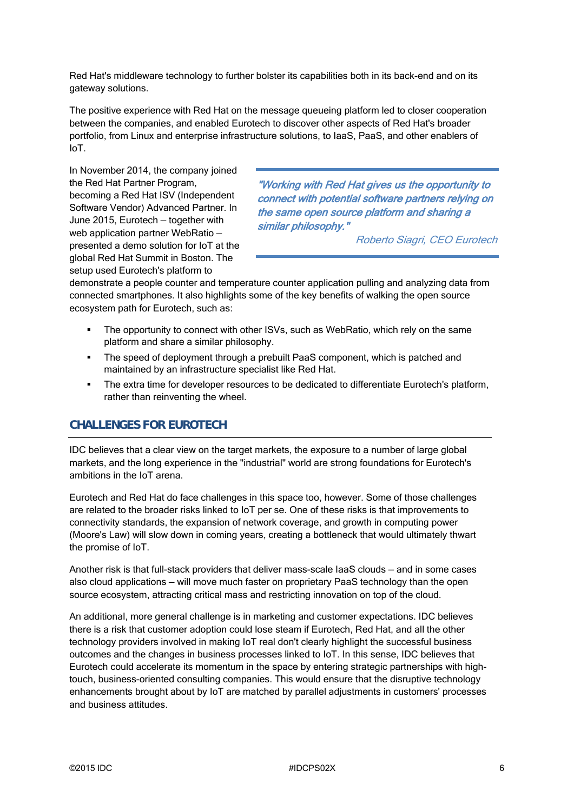Red Hat's middleware technology to further bolster its capabilities both in its back-end and on its gateway solutions.

The positive experience with Red Hat on the message queueing platform led to closer cooperation between the companies, and enabled Eurotech to discover other aspects of Red Hat's broader portfolio, from Linux and enterprise infrastructure solutions, to IaaS, PaaS, and other enablers of IoT.

In November 2014, the company joined the Red Hat Partner Program, becoming a Red Hat ISV (Independent Software Vendor) Advanced Partner. In June 2015, Eurotech — together with web application partner WebRatio presented a demo solution for IoT at the global Red Hat Summit in Boston. The setup used Eurotech's platform to

"Working with Red Hat gives us the opportunity to connect with potential software partners relying on the same open source platform and sharing a similar philosophy."

Roberto Siagri, CEO Eurotech

demonstrate a people counter and temperature counter application pulling and analyzing data from connected smartphones. It also highlights some of the key benefits of walking the open source ecosystem path for Eurotech, such as:

- The opportunity to connect with other ISVs, such as WebRatio, which rely on the same platform and share a similar philosophy.
- The speed of deployment through a prebuilt PaaS component, which is patched and maintained by an infrastructure specialist like Red Hat.
- **The extra time for developer resources to be dedicated to differentiate Eurotech's platform,** rather than reinventing the wheel.

## **CHALLENGES FOR EUROTECH**

IDC believes that a clear view on the target markets, the exposure to a number of large global markets, and the long experience in the "industrial" world are strong foundations for Eurotech's ambitions in the IoT arena.

Eurotech and Red Hat do face challenges in this space too, however. Some of those challenges are related to the broader risks linked to IoT per se. One of these risks is that improvements to connectivity standards, the expansion of network coverage, and growth in computing power (Moore's Law) will slow down in coming years, creating a bottleneck that would ultimately thwart the promise of IoT.

Another risk is that full-stack providers that deliver mass-scale IaaS clouds — and in some cases also cloud applications — will move much faster on proprietary PaaS technology than the open source ecosystem, attracting critical mass and restricting innovation on top of the cloud.

An additional, more general challenge is in marketing and customer expectations. IDC believes there is a risk that customer adoption could lose steam if Eurotech, Red Hat, and all the other technology providers involved in making IoT real don't clearly highlight the successful business outcomes and the changes in business processes linked to IoT. In this sense, IDC believes that Eurotech could accelerate its momentum in the space by entering strategic partnerships with hightouch, business-oriented consulting companies. This would ensure that the disruptive technology enhancements brought about by IoT are matched by parallel adjustments in customers' processes and business attitudes.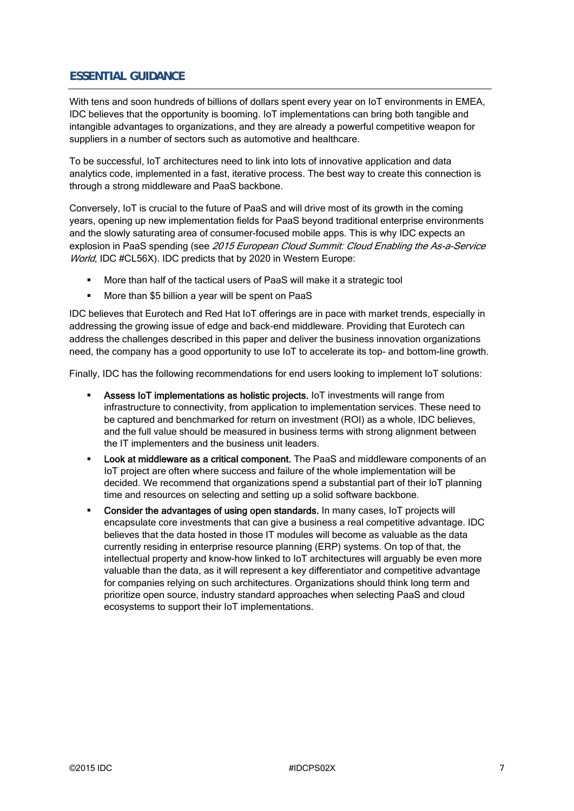## **ESSENTIAL GUIDANCE**

With tens and soon hundreds of billions of dollars spent every year on IoT environments in EMEA, IDC believes that the opportunity is booming. IoT implementations can bring both tangible and intangible advantages to organizations, and they are already a powerful competitive weapon for suppliers in a number of sectors such as automotive and healthcare.

To be successful, IoT architectures need to link into lots of innovative application and data analytics code, implemented in a fast, iterative process. The best way to create this connection is through a strong middleware and PaaS backbone.

Conversely, IoT is crucial to the future of PaaS and will drive most of its growth in the coming years, opening up new implementation fields for PaaS beyond traditional enterprise environments and the slowly saturating area of consumer-focused mobile apps. This is why IDC expects an explosion in PaaS spending (see 2015 European Cloud Summit: Cloud Enabling the As-a-Service World, IDC #CL56X). IDC predicts that by 2020 in Western Europe:

- More than half of the tactical users of PaaS will make it a strategic tool
- **More than \$5 billion a year will be spent on PaaS**

IDC believes that Eurotech and Red Hat IoT offerings are in pace with market trends, especially in addressing the growing issue of edge and back-end middleware. Providing that Eurotech can address the challenges described in this paper and deliver the business innovation organizations need, the company has a good opportunity to use IoT to accelerate its top- and bottom-line growth.

Finally, IDC has the following recommendations for end users looking to implement IoT solutions:

- Assess IoT implementations as holistic projects. IoT investments will range from infrastructure to connectivity, from application to implementation services. These need to be captured and benchmarked for return on investment (ROI) as a whole, IDC believes, and the full value should be measured in business terms with strong alignment between the IT implementers and the business unit leaders.
- **Look at middleware as a critical component.** The PaaS and middleware components of an IoT project are often where success and failure of the whole implementation will be decided. We recommend that organizations spend a substantial part of their IoT planning time and resources on selecting and setting up a solid software backbone.
- Consider the advantages of using open standards. In many cases, IoT projects will encapsulate core investments that can give a business a real competitive advantage. IDC believes that the data hosted in those IT modules will become as valuable as the data currently residing in enterprise resource planning (ERP) systems. On top of that, the intellectual property and know-how linked to IoT architectures will arguably be even more valuable than the data, as it will represent a key differentiator and competitive advantage for companies relying on such architectures. Organizations should think long term and prioritize open source, industry standard approaches when selecting PaaS and cloud ecosystems to support their IoT implementations.